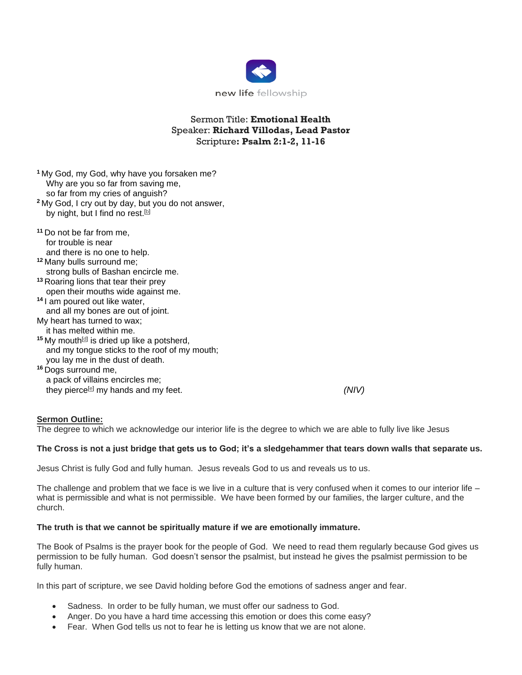

# Sermon Title: **Emotional Health** Speaker: **Richard Villodas, Lead Pastor** Scripture**: Psalm 2:1-2, 11-16**

| <sup>1</sup> My God, my God, why have you forsaken me?<br>Why are you so far from saving me,<br>so far from my cries of anguish?                        |  |
|---------------------------------------------------------------------------------------------------------------------------------------------------------|--|
| <sup>2</sup> My God, I cry out by day, but you do not answer,<br>by night, but I find no rest. <sup>[b]</sup>                                           |  |
| <sup>11</sup> Do not be far from me,<br>for trouble is near<br>and there is no one to help.                                                             |  |
| <sup>12</sup> Many bulls surround me;<br>strong bulls of Bashan encircle me.                                                                            |  |
| <sup>13</sup> Roaring lions that tear their prey<br>open their mouths wide against me.                                                                  |  |
| <sup>14</sup> I am poured out like water,<br>and all my bones are out of joint.                                                                         |  |
| My heart has turned to wax;<br>it has melted within me.                                                                                                 |  |
| <sup>15</sup> My mouth <sup>[d]</sup> is dried up like a potsherd,<br>and my tongue sticks to the roof of my mouth;<br>you lay me in the dust of death. |  |
| <sup>16</sup> Dogs surround me,<br>a pack of villains encircles me;                                                                                     |  |
| they pierce <sup>[e]</sup> my hands and my feet.                                                                                                        |  |

### **Sermon Outline:**

The degree to which we acknowledge our interior life is the degree to which we are able to fully live like Jesus

#### **The Cross is not a just bridge that gets us to God; it's a sledgehammer that tears down walls that separate us.**

Jesus Christ is fully God and fully human. Jesus reveals God to us and reveals us to us.

The challenge and problem that we face is we live in a culture that is very confused when it comes to our interior life  $$ what is permissible and what is not permissible. We have been formed by our families, the larger culture, and the church.

#### **The truth is that we cannot be spiritually mature if we are emotionally immature.**

The Book of Psalms is the prayer book for the people of God. We need to read them regularly because God gives us permission to be fully human. God doesn't sensor the psalmist, but instead he gives the psalmist permission to be fully human.

In this part of scripture, we see David holding before God the emotions of sadness anger and fear.

- Sadness. In order to be fully human, we must offer our sadness to God.
- Anger. Do you have a hard time accessing this emotion or does this come easy?
- Fear. When God tells us not to fear he is letting us know that we are not alone.